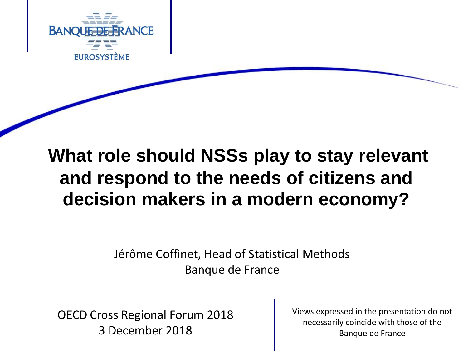

# **What role should NSSs play to stay relevant and respond to the needs of citizens and decision makers in a modern economy?**

Jérôme Coffinet, Head of Statistical Methods Banque de France

Banque de France – Projet XXIII Communication – Projet XXIII Communication – Projet XXIII Communication – Pro<br>
Banque de France OECD Cross Regional Forum 2018

Views expressed in the presentation do not necessarily coincide with those of the Banque de France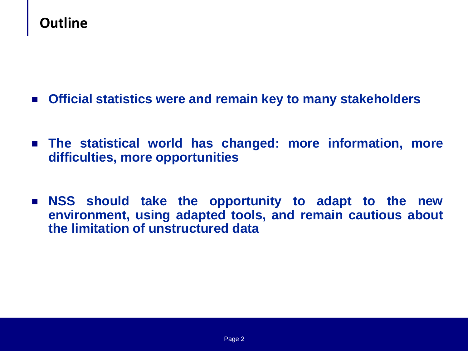### **Outline**

- **Official statistics were and remain key to many stakeholders**
- **The statistical world has changed: more information, more difficulties, more opportunities**
- **NSS should take the opportunity to adapt to the new environment, using adapted tools, and remain cautious about the limitation of unstructured data**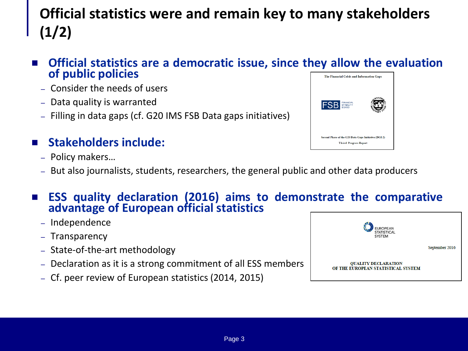### **Official statistics were and remain key to many stakeholders (1/2)**

- **Official statistics are a democratic issue, since they allow the evaluation of public policies** The Financial Crisis and Information Gaps
	- Consider the needs of users
	- Data quality is warranted
	- Filling in data gaps (cf. G20 IMS FSB Data gaps initiatives)

#### **Stakeholders include:**

- Policy makers…
- But also journalists, students, researchers, the general public and other data producers

#### **ESS quality declaration (2016) aims to demonstrate the comparative advantage of European official statistics**

- Independence
- Transparency
- State-of-the-art methodology
- Declaration as it is a strong commitment of all ESS members
- Cf. peer review of European statistics (2014, 2015)



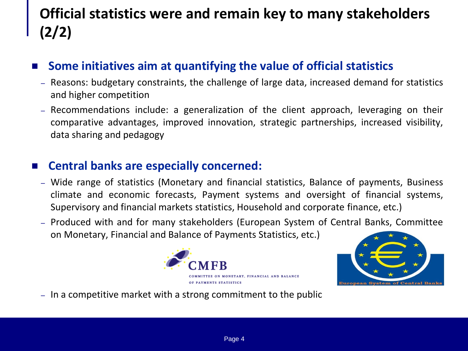## **Official statistics were and remain key to many stakeholders (2/2)**

#### **Some initiatives aim at quantifying the value of official statistics**

- Reasons: budgetary constraints, the challenge of large data, increased demand for statistics and higher competition
- Recommendations include: a generalization of the client approach, leveraging on their comparative advantages, improved innovation, strategic partnerships, increased visibility, data sharing and pedagogy

#### **Central banks are especially concerned:**

- Wide range of statistics (Monetary and financial statistics, Balance of payments, Business climate and economic forecasts, Payment systems and oversight of financial systems, Supervisory and financial markets statistics, Household and corporate finance, etc.)
- Produced with and for many stakeholders (European System of Central Banks, Committee on Monetary, Financial and Balance of Payments Statistics, etc.)





– In a competitive market with a strong commitment to the public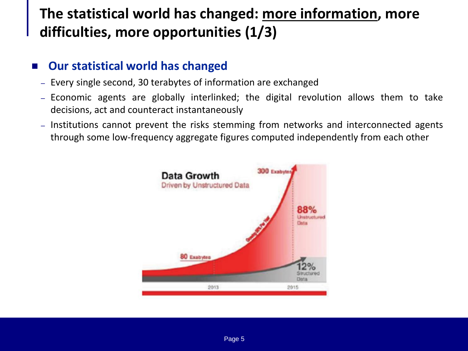### **The statistical world has changed: more information, more difficulties, more opportunities (1/3)**

#### **Our statistical world has changed**

- Every single second, 30 terabytes of information are exchanged
- Economic agents are globally interlinked; the digital revolution allows them to take decisions, act and counteract instantaneously
- Institutions cannot prevent the risks stemming from networks and interconnected agents through some low-frequency aggregate figures computed independently from each other

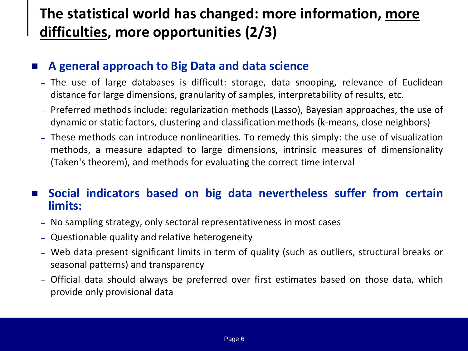### **The statistical world has changed: more information, more difficulties, more opportunities (2/3)**

#### **A general approach to Big Data and data science**

- The use of large databases is difficult: storage, data snooping, relevance of Euclidean distance for large dimensions, granularity of samples, interpretability of results, etc.
- Preferred methods include: regularization methods (Lasso), Bayesian approaches, the use of dynamic or static factors, clustering and classification methods (k-means, close neighbors)
- These methods can introduce nonlinearities. To remedy this simply: the use of visualization methods, a measure adapted to large dimensions, intrinsic measures of dimensionality (Taken's theorem), and methods for evaluating the correct time interval

#### **Social indicators based on big data nevertheless suffer from certain limits:**

- No sampling strategy, only sectoral representativeness in most cases
- Questionable quality and relative heterogeneity
- Web data present significant limits in term of quality (such as outliers, structural breaks or seasonal patterns) and transparency
- Official data should always be preferred over first estimates based on those data, which provide only provisional data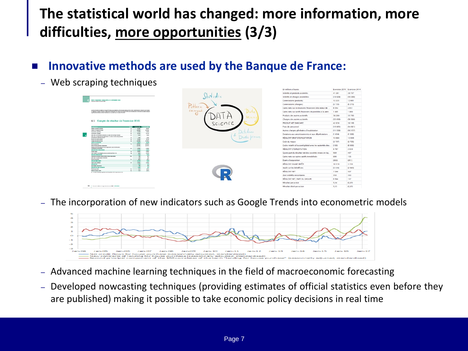### **The statistical world has changed: more information, more difficulties, more opportunities (3/3)**

#### **Innovative methods are used by the Banque de France:**

– Web scraping techniques

|                                                                                                                                                                                                                                                                                                                                                                                    |                                                                                        |                                               |                          |  |                             |         |                      |  |                                                          | <b>SAVING AVIS LANGERY</b> |          |
|------------------------------------------------------------------------------------------------------------------------------------------------------------------------------------------------------------------------------------------------------------------------------------------------------------------------------------------------------------------------------------|----------------------------------------------------------------------------------------|-----------------------------------------------|--------------------------|--|-----------------------------|---------|----------------------|--|----------------------------------------------------------|----------------------------|----------|
|                                                                                                                                                                                                                                                                                                                                                                                    |                                                                                        |                                               |                          |  |                             |         |                      |  | Intérêts et produits assimilés                           | 41 381                     | 38 707   |
|                                                                                                                                                                                                                                                                                                                                                                                    |                                                                                        |                                               |                          |  |                             |         |                      |  | Intérêts et charges assimilées                           | (18828)                    | (1838)   |
| <b>ENTS CHAMBER CANALISES AN AS REFERED MADE</b><br>Complete ribados de l'esprito 2007                                                                                                                                                                                                                                                                                             |                                                                                        |                                               |                          |  |                             |         |                      |  | Commissions (produits)                                   | 13335                      | 12 661   |
|                                                                                                                                                                                                                                                                                                                                                                                    |                                                                                        |                                               |                          |  |                             |         |                      |  | Commissions (charges)                                    | (5720)                     | (5, 273) |
| janifalt francisco considér du limpa BHF Patha contamination au titre des deux excelses (1934-2354, Contaminant à l'article 300 de l'années)<br>a: figlienant aurquian Programa: (tigliamani 8) (836/2020), il ant pridmal qua l'arantisa 235.5 am comunicida dans la Donumant da reflexera depend<br>work de thuis the dank and a frances in a man 2015 tous to numera (12) 4507. |                                                                                        |                                               |                          |  | GHERN                       |         |                      |  | Gains nets sur instruments financiers à la valeur de     | 6054                       | 4 6 3 1  |
|                                                                                                                                                                                                                                                                                                                                                                                    |                                                                                        |                                               |                          |  | recogni<br>$\alpha$ $\beta$ |         |                      |  | Gains nets sur actifs financiers disponibles à la vent   | 1485                       | 1969     |
|                                                                                                                                                                                                                                                                                                                                                                                    |                                                                                        |                                               |                          |  |                             |         | $M_{1}$ ning         |  | Produits des autres activités                            | 38 28 9                    | 35 760   |
| 4.1 Compte de résultat de l'exercice 2015                                                                                                                                                                                                                                                                                                                                          |                                                                                        |                                               |                          |  |                             |         |                      |  | Charges des autres activités                             | (33 058)                   | (30899)  |
|                                                                                                                                                                                                                                                                                                                                                                                    |                                                                                        |                                               |                          |  |                             | Science |                      |  | PRODUIT NET BANCAIRE                                     | 42938                      | 39 168   |
| ____<br><b>Contact De La</b><br><b>Legislator</b>                                                                                                                                                                                                                                                                                                                                  |                                                                                        |                                               |                          |  |                             |         |                      |  | Frais de personnel                                       | (16061)                    | (14801)  |
| hangs at project supporter<br><b>Holtz at tharge entrolder</b>                                                                                                                                                                                                                                                                                                                     |                                                                                        | 436<br>38<br>ce son<br>3a                     | <b>B</b> WF<br>(39.188). |  |                             |         |                      |  |                                                          |                            |          |
| <b>Constrators produtes</b>                                                                                                                                                                                                                                                                                                                                                        |                                                                                        | 3115<br><b>NR</b>                             | 12,003                   |  |                             |         |                      |  | Autres charges générales d'exploitation                  | (11539)                    | (10157)  |
| connection photos                                                                                                                                                                                                                                                                                                                                                                  |                                                                                        | 6.790<br>m                                    | 6.170                    |  |                             |         |                      |  |                                                          |                            |          |
|                                                                                                                                                                                                                                                                                                                                                                                    | Gallerinate sur instruments financiales à la nature de marchal par résultat            | <b>b</b><br>sou                               | 4.932                    |  |                             |         |                      |  | Dotations aux amortissements et aux dépréciations        | (1.654)                    | (1 566)  |
| net drainers are rested the marchet<br>Police das Artes Alfreda                                                                                                                                                                                                                                                                                                                    | Selected for a selected material materials choose and the personal                     | 34<br>148<br>10.100<br>$\mathbf{a}$           | 1999<br>8.86             |  |                             |         | <b><i>DTocum</i></b> |  | RÉSULTAT BRUT D'EXPLOITATION                             | 13 684                     | 12 644   |
| <b>Charges das antine antietie</b>                                                                                                                                                                                                                                                                                                                                                 |                                                                                        | pams.<br>n.                                   | (6.68)                   |  |                             |         |                      |  |                                                          |                            |          |
| <b><i>PRODUCED FOR DISCUSSION</i></b>                                                                                                                                                                                                                                                                                                                                              |                                                                                        | ests.                                         | 20,000                   |  |                             |         |                      |  | Coût du risque                                           | (3797)                     | (3705)   |
| <b><i><u>Incide promotion</u></i></b><br>Arthur charges généralen d'exploiteiten                                                                                                                                                                                                                                                                                                   |                                                                                        | 24<br>00.001<br>(10 TH)                       | (54.800).<br>(89.55%)    |  |                             |         |                      |  | Coûts relatifs à l'accord global avec les autorités des. | (100)                      | (6000)   |
| огранице получные<br><b>STRUCKT BRATIFIER AT COMPANY REA</b>                                                                                                                                                                                                                                                                                                                       | bracket an anothermatic diamidanticalors distinguishes                                 | 18<br>$0$ times<br>10,000                     | $-0.5881$<br>12,000      |  |                             |         |                      |  | <b>RÉSULTAT D'EXPLOITATION</b>                           | 9 7 8 7                    | 2939     |
| Cell de rivare                                                                                                                                                                                                                                                                                                                                                                     |                                                                                        | 0.851<br>M                                    | (5, 906).                |  |                             |         |                      |  |                                                          |                            |          |
| cam rest) interest policient as sential de Euro and                                                                                                                                                                                                                                                                                                                                |                                                                                        | can-<br>$\sim$                                | (6.008)                  |  |                             |         |                      |  | Quote-part du résultat net des sociétés mises en éq.,    | 589                        | 407      |
| <b>Grecial o'Diructiones</b>                                                                                                                                                                                                                                                                                                                                                       |                                                                                        | 9.80                                          | 133                      |  |                             |         |                      |  |                                                          |                            |          |
| Conterpret de résultative des sotéals mises en épinsieres                                                                                                                                                                                                                                                                                                                          |                                                                                        | $n =$<br>$\overline{\phantom{a}}$<br>$\cdots$ | $\overline{a}$<br>wa     |  |                             |         |                      |  | Gains nets sur autres actifs in mobilisés                | 996                        | 155      |
| Gallerielt for active adds revolution-<br><b>Early Catalogue</b>                                                                                                                                                                                                                                                                                                                   |                                                                                        | 58<br>ditto:                                  | 19621                    |  |                             |         |                      |  |                                                          |                            |          |
| should can't with                                                                                                                                                                                                                                                                                                                                                                  |                                                                                        | <b>MAN</b>                                    | 1.84                     |  |                             |         |                      |  | Écarts d'acquisition                                     | (993)                      | (351)    |
| <b>Profit out an benefited</b>                                                                                                                                                                                                                                                                                                                                                     |                                                                                        | 0.3901<br>$33 -$                              | <b>GBB.</b>              |  |                             |         |                      |  |                                                          |                            |          |
| aboutet act                                                                                                                                                                                                                                                                                                                                                                        |                                                                                        | 7.998                                         | SKY.                     |  |                             |         |                      |  | RÉSULTAT AVANT IMPÔT                                     | 10 3 7 9                   | 3 1 5 0  |
| <b>GELTINGS FRUTHER</b><br><b>REGISTER WAS ARRESTED ON DURING</b>                                                                                                                                                                                                                                                                                                                  |                                                                                        | 1.00                                          | $^{**}$<br>B             |  |                             |         |                      |  |                                                          |                            |          |
| lease py sche.                                                                                                                                                                                                                                                                                                                                                                     |                                                                                        | 534<br>61.                                    | ditch <sup>2</sup>       |  |                             |         |                      |  | Impôt sur les bénéfices                                  | (3335)                     | (2.643)  |
| <b>Bound drad our artists</b>                                                                                                                                                                                                                                                                                                                                                      |                                                                                        | 5.25<br>n <sub>n</sub>                        | em.                      |  |                             |         |                      |  | <b>RÉSULTAT NET</b>                                      | 7044                       |          |
|                                                                                                                                                                                                                                                                                                                                                                                    | (b) investor retrollingum application distint appellation (PRI) 26 (d) outso lie at 25 |                                               |                          |  |                             |         |                      |  |                                                          |                            | 507      |
|                                                                                                                                                                                                                                                                                                                                                                                    |                                                                                        |                                               |                          |  |                             |         |                      |  | dont intérêts minoritaires                               | 350                        | 350      |
|                                                                                                                                                                                                                                                                                                                                                                                    |                                                                                        |                                               |                          |  |                             |         |                      |  | RÉSULTAT NET, PART DU GROUPE                             | 6 694                      | 157      |
|                                                                                                                                                                                                                                                                                                                                                                                    |                                                                                        |                                               |                          |  |                             |         |                      |  | Résultat par action                                      | 5,14                       | (0,07)   |
|                                                                                                                                                                                                                                                                                                                                                                                    | Environment des références et imposed (Processin annoncé 2006). A 197 Métrices         |                                               |                          |  |                             |         |                      |  | Résultat dilué par action                                | 5.13                       | (0.07)   |
|                                                                                                                                                                                                                                                                                                                                                                                    |                                                                                        |                                               |                          |  |                             |         |                      |  |                                                          |                            |          |

– The incorporation of new indicators such as Google Trends into econometric models



- Advanced machine learning techniques in the field of macroeconomic forecasting
- Developed nowcasting techniques (providing estimates of official statistics even before they are published) making it possible to take economic policy decisions in real time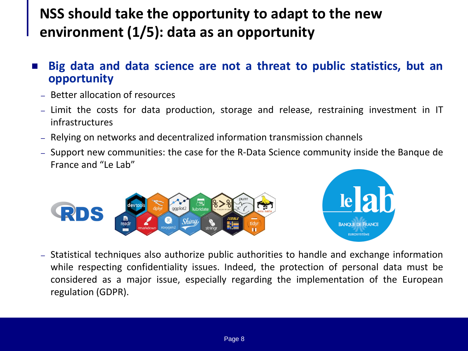### **NSS should take the opportunity to adapt to the new environment (1/5): data as an opportunity**

- **Big data and data science are not a threat to public statistics, but an opportunity**
	- Better allocation of resources
	- Limit the costs for data production, storage and release, restraining investment in IT infrastructures
	- Relying on networks and decentralized information transmission channels
	- Support new communities: the case for the R-Data Science community inside the Banque de France and "Le Lab"





– Statistical techniques also authorize public authorities to handle and exchange information while respecting confidentiality issues. Indeed, the protection of personal data must be considered as a major issue, especially regarding the implementation of the European regulation (GDPR).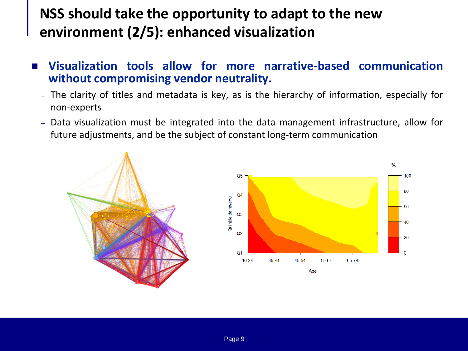### **NSS should take the opportunity to adapt to the new environment (2/5): enhanced visualization**

- **Visualization tools allow for more narrative-based communication without compromising vendor neutrality.**
	- The clarity of titles and metadata is key, as is the hierarchy of information, especially for non-experts
	- Data visualization must be integrated into the data management infrastructure, allow for future adjustments, and be the subject of constant long-term communication

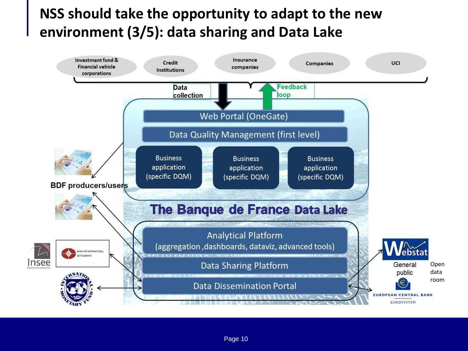### **NSS should take the opportunity to adapt to the new environment (3/5): data sharing and Data Lake**

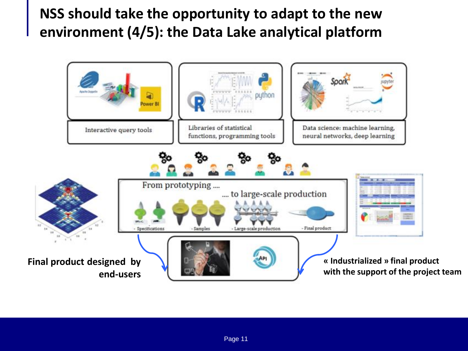### **NSS should take the opportunity to adapt to the new environment (4/5): the Data Lake analytical platform**

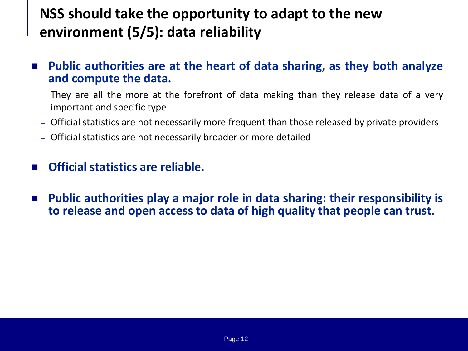### **NSS should take the opportunity to adapt to the new environment (5/5): data reliability**

- **Public authorities are at the heart of data sharing, as they both analyze and compute the data.**
	- They are all the more at the forefront of data making than they release data of a very important and specific type
	- Official statistics are not necessarily more frequent than those released by private providers
	- Official statistics are not necessarily broader or more detailed
- **Official statistics are reliable.**
- **Public authorities play a major role in data sharing: their responsibility is to release and open access to data of high quality that people can trust.**